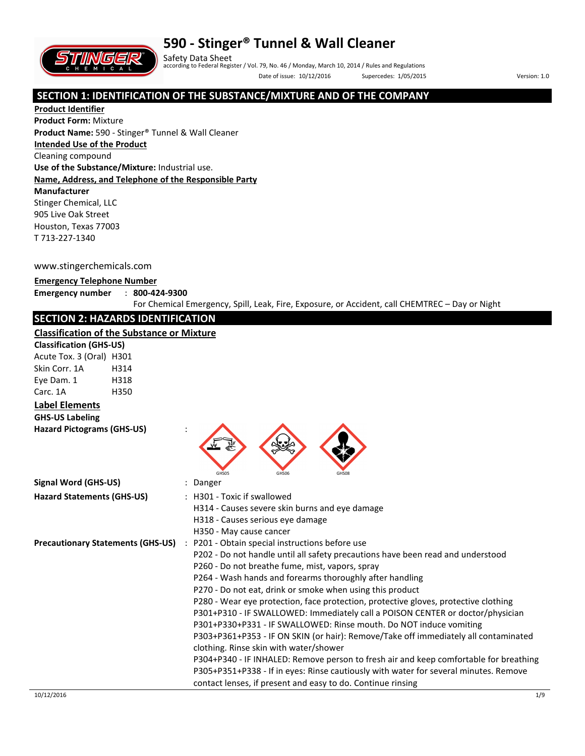



Safety Data Sheet according to Federal Register / Vol. 79, No. 46 / Monday, March 10, 2014 / Rules and Regulations Date of issue: 10/12/2016 Supercedes: 1/05/2015 Version: 1.0

### **SECTION 1: IDENTIFICATION OF THE SUBSTANCE/MIXTURE AND OF THE COMPANY**

**Product Identifier Product Form:** Mixture **Product Name:** 590 - Stinger® Tunnel & Wall Cleaner **Intended Use of the Product** Cleaning compound **Use of the Substance/Mixture:** Industrial use. **Name, Address, and Telephone of the Responsible Party Manufacturer**  Stinger Chemical, LLC 905 Live Oak Street Houston, Texas 77003 T 713-227-1340

#### www.stingerchemicals.com

#### **Emergency Telephone Number**

#### **Emergency number** : **800-424-9300**

For Chemical Emergency, Spill, Leak, Fire, Exposure, or Accident, call CHEMTREC – Day or Night

## **SECTION 2: HAZARDS IDENTIFICATION**

#### **Classification of the Substance or Mixture**

| Classification of the Substance or Mixture |      |                                                                                                                                                                                                                                                                                                                                                                                                                                                                                                                                                                                                                                                                                                                                                                                                                                                                                                                                                |
|--------------------------------------------|------|------------------------------------------------------------------------------------------------------------------------------------------------------------------------------------------------------------------------------------------------------------------------------------------------------------------------------------------------------------------------------------------------------------------------------------------------------------------------------------------------------------------------------------------------------------------------------------------------------------------------------------------------------------------------------------------------------------------------------------------------------------------------------------------------------------------------------------------------------------------------------------------------------------------------------------------------|
| <b>Classification (GHS-US)</b>             |      |                                                                                                                                                                                                                                                                                                                                                                                                                                                                                                                                                                                                                                                                                                                                                                                                                                                                                                                                                |
| Acute Tox. 3 (Oral) H301                   |      |                                                                                                                                                                                                                                                                                                                                                                                                                                                                                                                                                                                                                                                                                                                                                                                                                                                                                                                                                |
| Skin Corr. 1A                              | H314 |                                                                                                                                                                                                                                                                                                                                                                                                                                                                                                                                                                                                                                                                                                                                                                                                                                                                                                                                                |
| Eye Dam. 1                                 | H318 |                                                                                                                                                                                                                                                                                                                                                                                                                                                                                                                                                                                                                                                                                                                                                                                                                                                                                                                                                |
| Carc. 1A                                   | H350 |                                                                                                                                                                                                                                                                                                                                                                                                                                                                                                                                                                                                                                                                                                                                                                                                                                                                                                                                                |
| <b>Label Elements</b>                      |      |                                                                                                                                                                                                                                                                                                                                                                                                                                                                                                                                                                                                                                                                                                                                                                                                                                                                                                                                                |
| <b>GHS-US Labeling</b>                     |      |                                                                                                                                                                                                                                                                                                                                                                                                                                                                                                                                                                                                                                                                                                                                                                                                                                                                                                                                                |
| <b>Hazard Pictograms (GHS-US)</b>          |      | GHS05<br>GHS06<br>GHS08                                                                                                                                                                                                                                                                                                                                                                                                                                                                                                                                                                                                                                                                                                                                                                                                                                                                                                                        |
| <b>Signal Word (GHS-US)</b>                |      | : Danger                                                                                                                                                                                                                                                                                                                                                                                                                                                                                                                                                                                                                                                                                                                                                                                                                                                                                                                                       |
| <b>Hazard Statements (GHS-US)</b>          |      | : H301 - Toxic if swallowed<br>H314 - Causes severe skin burns and eye damage<br>H318 - Causes serious eye damage<br>H350 - May cause cancer                                                                                                                                                                                                                                                                                                                                                                                                                                                                                                                                                                                                                                                                                                                                                                                                   |
| <b>Precautionary Statements (GHS-US)</b>   |      | : P201 - Obtain special instructions before use<br>P202 - Do not handle until all safety precautions have been read and understood<br>P260 - Do not breathe fume, mist, vapors, spray<br>P264 - Wash hands and forearms thoroughly after handling<br>P270 - Do not eat, drink or smoke when using this product<br>P280 - Wear eye protection, face protection, protective gloves, protective clothing<br>P301+P310 - IF SWALLOWED: Immediately call a POISON CENTER or doctor/physician<br>P301+P330+P331 - IF SWALLOWED: Rinse mouth. Do NOT induce vomiting<br>P303+P361+P353 - IF ON SKIN (or hair): Remove/Take off immediately all contaminated<br>clothing. Rinse skin with water/shower<br>P304+P340 - IF INHALED: Remove person to fresh air and keep comfortable for breathing<br>P305+P351+P338 - If in eyes: Rinse cautiously with water for several minutes. Remove<br>contact lenses, if present and easy to do. Continue rinsing |
| 10/12/2016                                 |      | 1/9                                                                                                                                                                                                                                                                                                                                                                                                                                                                                                                                                                                                                                                                                                                                                                                                                                                                                                                                            |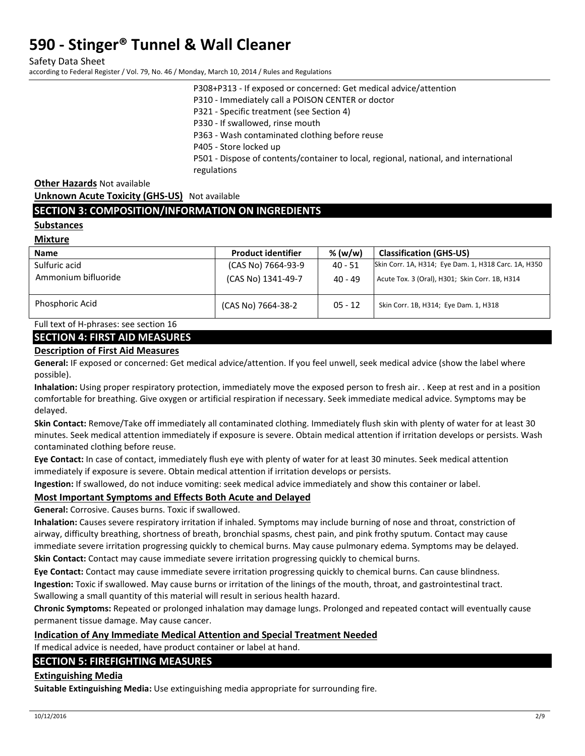Safety Data Sheet

according to Federal Register / Vol. 79, No. 46 / Monday, March 10, 2014 / Rules and Regulations

P308+P313 - If exposed or concerned: Get medical advice/attention

P310 - Immediately call a POISON CENTER or doctor

P321 - Specific treatment (see Section 4)

P330 - If swallowed, rinse mouth

P363 - Wash contaminated clothing before reuse

P405 - Store locked up

P501 - Dispose of contents/container to local, regional, national, and international regulations

**Other Hazards** Not available

**Unknown Acute Toxicity (GHS-US)** Not available

### **SECTION 3: COMPOSITION/INFORMATION ON INGREDIENTS**

#### **Substances**

**Mixture** 

| <b>Name</b>         | <b>Product identifier</b> | % $(w/w)$ | <b>Classification (GHS-US)</b>                       |
|---------------------|---------------------------|-----------|------------------------------------------------------|
| Sulfuric acid       | (CAS No) 7664-93-9        | 40 - 51   | Skin Corr. 1A, H314; Eye Dam. 1, H318 Carc. 1A, H350 |
| Ammonium bifluoride | (CAS No) 1341-49-7        | 40 - 49   | Acute Tox. 3 (Oral), H301; Skin Corr. 1B, H314       |
| Phosphoric Acid     | (CAS No) 7664-38-2        | $05 - 12$ | Skin Corr. 1B, H314; Eye Dam. 1, H318                |

Full text of H-phrases: see section 16

### **SECTION 4: FIRST AID MEASURES**

#### **Description of First Aid Measures**

**General:** IF exposed or concerned: Get medical advice/attention. If you feel unwell, seek medical advice (show the label where possible).

**Inhalation:** Using proper respiratory protection, immediately move the exposed person to fresh air. . Keep at rest and in a position comfortable for breathing. Give oxygen or artificial respiration if necessary. Seek immediate medical advice. Symptoms may be delayed.

**Skin Contact:** Remove/Take off immediately all contaminated clothing. Immediately flush skin with plenty of water for at least 30 minutes. Seek medical attention immediately if exposure is severe. Obtain medical attention if irritation develops or persists. Wash contaminated clothing before reuse.

**Eye Contact:** In case of contact, immediately flush eye with plenty of water for at least 30 minutes. Seek medical attention immediately if exposure is severe. Obtain medical attention if irritation develops or persists.

**Ingestion:** If swallowed, do not induce vomiting: seek medical advice immediately and show this container or label.

### **Most Important Symptoms and Effects Both Acute and Delayed**

**General:** Corrosive. Causes burns. Toxic if swallowed.

**Inhalation:** Causes severe respiratory irritation if inhaled. Symptoms may include burning of nose and throat, constriction of airway, difficulty breathing, shortness of breath, bronchial spasms, chest pain, and pink frothy sputum. Contact may cause immediate severe irritation progressing quickly to chemical burns. May cause pulmonary edema. Symptoms may be delayed.

**Skin Contact:** Contact may cause immediate severe irritation progressing quickly to chemical burns.

**Eye Contact:** Contact may cause immediate severe irritation progressing quickly to chemical burns. Can cause blindness. **Ingestion:** Toxic if swallowed. May cause burns or irritation of the linings of the mouth, throat, and gastrointestinal tract. Swallowing a small quantity of this material will result in serious health hazard.

**Chronic Symptoms:** Repeated or prolonged inhalation may damage lungs. Prolonged and repeated contact will eventually cause permanent tissue damage. May cause cancer.

#### **Indication of Any Immediate Medical Attention and Special Treatment Needed**

If medical advice is needed, have product container or label at hand.

#### **SECTION 5: FIREFIGHTING MEASURES**

#### **Extinguishing Media**

**Suitable Extinguishing Media:** Use extinguishing media appropriate for surrounding fire.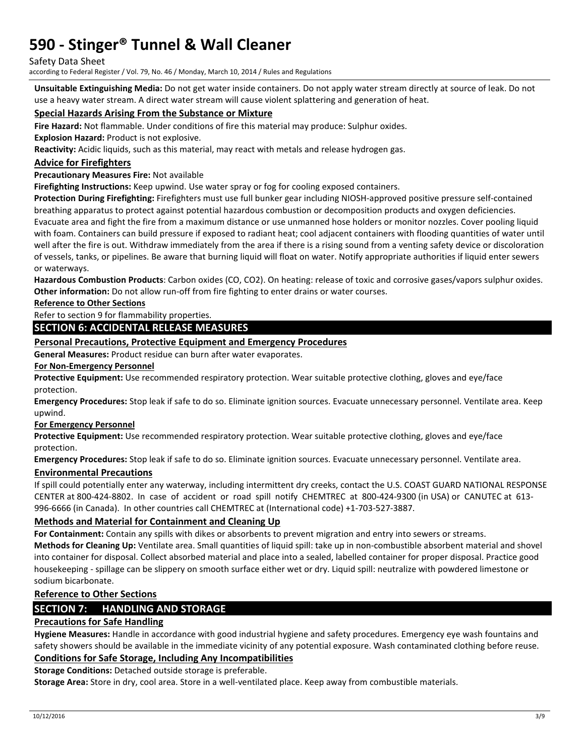#### Safety Data Sheet

according to Federal Register / Vol. 79, No. 46 / Monday, March 10, 2014 / Rules and Regulations

**Unsuitable Extinguishing Media:** Do not get water inside containers. Do not apply water stream directly at source of leak. Do not use a heavy water stream. A direct water stream will cause violent splattering and generation of heat.

#### **Special Hazards Arising From the Substance or Mixture**

**Fire Hazard:** Not flammable. Under conditions of fire this material may produce: Sulphur oxides.

**Explosion Hazard:** Product is not explosive.

**Reactivity:** Acidic liquids, such as this material, may react with metals and release hydrogen gas.

#### **Advice for Firefighters**

#### **Precautionary Measures Fire:** Not available

**Firefighting Instructions:** Keep upwind. Use water spray or fog for cooling exposed containers.

**Protection During Firefighting:** Firefighters must use full bunker gear including NIOSH-approved positive pressure self-contained breathing apparatus to protect against potential hazardous combustion or decomposition products and oxygen deficiencies. Evacuate area and fight the fire from a maximum distance or use unmanned hose holders or monitor nozzles. Cover pooling liquid

with foam. Containers can build pressure if exposed to radiant heat; cool adjacent containers with flooding quantities of water until well after the fire is out. Withdraw immediately from the area if there is a rising sound from a venting safety device or discoloration of vessels, tanks, or pipelines. Be aware that burning liquid will float on water. Notify appropriate authorities if liquid enter sewers or waterways.

**Hazardous Combustion Products**: Carbon oxides (CO, CO2). On heating: release of toxic and corrosive gases/vapors sulphur oxides. **Other information:** Do not allow run-off from fire fighting to enter drains or water courses.

**Reference to Other Sections** 

Refer to section 9 for flammability properties.

#### **SECTION 6: ACCIDENTAL RELEASE MEASURES**

#### **Personal Precautions, Protective Equipment and Emergency Procedures**

**General Measures:** Product residue can burn after water evaporates.

#### **For Non-Emergency Personnel**

**Protective Equipment:** Use recommended respiratory protection. Wear suitable protective clothing, gloves and eye/face protection.

**Emergency Procedures:** Stop leak if safe to do so. Eliminate ignition sources. Evacuate unnecessary personnel. Ventilate area. Keep upwind.

#### **For Emergency Personnel**

**Protective Equipment:** Use recommended respiratory protection. Wear suitable protective clothing, gloves and eye/face protection.

**Emergency Procedures:** Stop leak if safe to do so. Eliminate ignition sources. Evacuate unnecessary personnel. Ventilate area.

#### **Environmental Precautions**

If spill could potentially enter any waterway, including intermittent dry creeks, contact the U.S. COAST GUARD NATIONAL RESPONSE CENTER at 800-424-8802. In case of accident or road spill notify CHEMTREC at 800-424-9300 (in USA) or CANUTEC at 613- 996-6666 (in Canada). In other countries call CHEMTREC at (International code) +1-703-527-3887.

#### **Methods and Material for Containment and Cleaning Up**

**For Containment:** Contain any spills with dikes or absorbents to prevent migration and entry into sewers or streams. **Methods for Cleaning Up:** Ventilate area. Small quantities of liquid spill: take up in non-combustible absorbent material and shovel into container for disposal. Collect absorbed material and place into a sealed, labelled container for proper disposal. Practice good housekeeping - spillage can be slippery on smooth surface either wet or dry. Liquid spill: neutralize with powdered limestone or sodium bicarbonate.

#### **Reference to Other Sections**

### **SECTION 7: HANDLING AND STORAGE**

#### **Precautions for Safe Handling**

**Hygiene Measures:** Handle in accordance with good industrial hygiene and safety procedures. Emergency eye wash fountains and safety showers should be available in the immediate vicinity of any potential exposure. Wash contaminated clothing before reuse.

## **Conditions for Safe Storage, Including Any Incompatibilities**

**Storage Conditions:** Detached outside storage is preferable.

**Storage Area:** Store in dry, cool area. Store in a well-ventilated place. Keep away from combustible materials.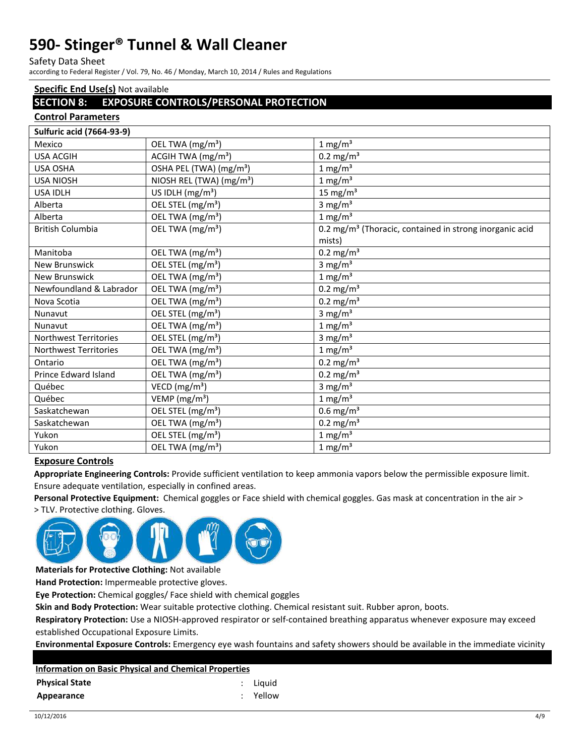Safety Data Sheet

according to Federal Register / Vol. 79, No. 46 / Monday, March 10, 2014 / Rules and Regulations

### **Specific End Use(s)** Not available

### **SECTION 8: EXPOSURE CONTROLS/PERSONAL PROTECTION**

#### **Control Parameters**

| <b>Sulfuric acid (7664-93-9)</b> |                                      |                                                                     |
|----------------------------------|--------------------------------------|---------------------------------------------------------------------|
| Mexico                           | OEL TWA (mg/m <sup>3</sup> )         | $1 \text{ mg/m}^3$                                                  |
| <b>USA ACGIH</b>                 | ACGIH TWA (mg/m <sup>3</sup> )       | $0.2 \text{ mg/m}^3$                                                |
| <b>USA OSHA</b>                  | OSHA PEL (TWA) (mg/m <sup>3</sup> )  | $1 \text{ mg/m}^3$                                                  |
| <b>USA NIOSH</b>                 | NIOSH REL (TWA) (mg/m <sup>3</sup> ) | $1 \text{ mg/m}^3$                                                  |
| <b>USA IDLH</b>                  | US IDLH $(mg/m3)$                    | 15 mg/ $m3$                                                         |
| Alberta                          | OEL STEL (mg/m <sup>3</sup> )        | 3 mg/ $m3$                                                          |
| Alberta                          | OEL TWA (mg/m <sup>3</sup> )         | $1 \text{ mg/m}^3$                                                  |
| <b>British Columbia</b>          | OEL TWA (mg/m <sup>3</sup> )         | 0.2 mg/m <sup>3</sup> (Thoracic, contained in strong inorganic acid |
|                                  |                                      | mists)                                                              |
| Manitoba                         | OEL TWA (mg/m <sup>3</sup> )         | $0.2 \text{ mg/m}^3$                                                |
| <b>New Brunswick</b>             | OEL STEL (mg/m <sup>3</sup> )        | 3 mg/ $m3$                                                          |
| <b>New Brunswick</b>             | OEL TWA (mg/m <sup>3</sup> )         | $1 \text{ mg/m}^3$                                                  |
| Newfoundland & Labrador          | OEL TWA (mg/m <sup>3</sup> )         | $0.2 \text{ mg/m}^3$                                                |
| Nova Scotia                      | OEL TWA (mg/m <sup>3</sup> )         | $0.2 \text{ mg/m}^3$                                                |
| Nunavut                          | OEL STEL (mg/m <sup>3</sup> )        | 3 mg/ $m3$                                                          |
| Nunavut                          | OEL TWA (mg/m <sup>3</sup> )         | $1 \text{ mg/m}^3$                                                  |
| <b>Northwest Territories</b>     | OEL STEL (mg/m <sup>3</sup> )        | $3 \text{ mg/m}^3$                                                  |
| <b>Northwest Territories</b>     | OEL TWA (mg/m <sup>3</sup> )         | $1 \text{ mg/m}^3$                                                  |
| Ontario                          | OEL TWA (mg/m <sup>3</sup> )         | $0.2 \text{ mg/m}^3$                                                |
| Prince Edward Island             | OEL TWA (mg/m <sup>3</sup> )         | $0.2 \text{ mg/m}^3$                                                |
| Québec                           | VECD $(mg/m3)$                       | 3 mg/ $m3$                                                          |
| Québec                           | VEMP $(mg/m3)$                       | $1 \text{ mg/m}^3$                                                  |
| Saskatchewan                     | OEL STEL (mg/m <sup>3</sup> )        | $0.6$ mg/m <sup>3</sup>                                             |
| Saskatchewan                     | OEL TWA (mg/m <sup>3</sup> )         | $0.2 \text{ mg/m}^3$                                                |
| Yukon                            | OEL STEL (mg/m <sup>3</sup> )        | $1 \text{ mg/m}^3$                                                  |
| Yukon                            | OEL TWA (mg/m <sup>3</sup> )         | $1 \text{ mg/m}^3$                                                  |

#### **Exposure Controls**

**Appropriate Engineering Controls:** Provide sufficient ventilation to keep ammonia vapors below the permissible exposure limit. Ensure adequate ventilation, especially in confined areas.

**Personal Protective Equipment:** Chemical goggles or Face shield with chemical goggles. Gas mask at concentration in the air >

> TLV. Protective clothing. Gloves.



**Materials for Protective Clothing:** Not available

**Hand Protection:** Impermeable protective gloves.

**Eye Protection:** Chemical goggles/ Face shield with chemical goggles

**Skin and Body Protection:** Wear suitable protective clothing. Chemical resistant suit. Rubber apron, boots.

**Respiratory Protection:** Use a NIOSH-approved respirator or self-contained breathing apparatus whenever exposure may exceed established Occupational Exposure Limits.

**Environmental Exposure Controls:** Emergency eye wash fountains and safety showers should be available in the immediate vicinity

| <b>Information on Basic Physical and Chemical Properties</b> |  |          |  |  |
|--------------------------------------------------------------|--|----------|--|--|
| <b>Physical State</b>                                        |  | : Liauid |  |  |
| Appearance                                                   |  | : Yellow |  |  |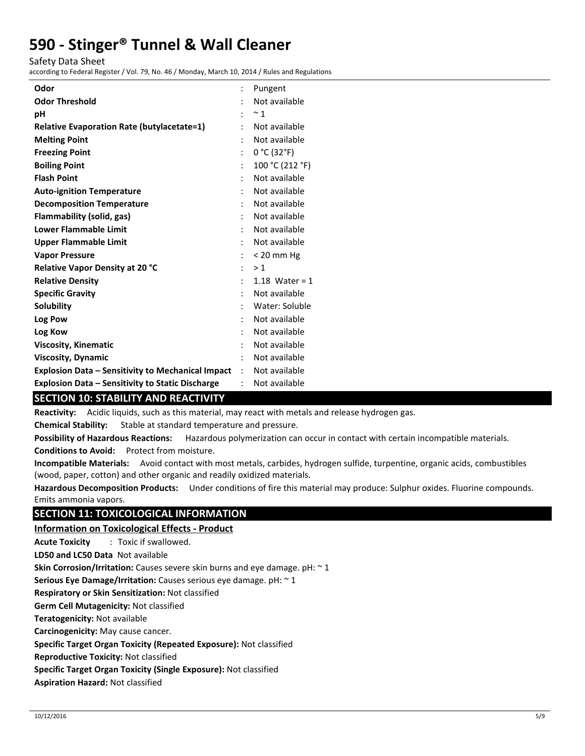Safety Data Sheet

according to Federal Register / Vol. 79, No. 46 / Monday, March 10, 2014 / Rules and Regulations

| Odor                                                     |                      | Pungent          |
|----------------------------------------------------------|----------------------|------------------|
| <b>Odor Threshold</b>                                    |                      | Not available    |
| рH                                                       |                      | $~^{\sim}$ 1     |
| <b>Relative Evaporation Rate (butylacetate=1)</b>        |                      | Not available    |
| <b>Melting Point</b>                                     |                      | Not available    |
| <b>Freezing Point</b>                                    | $\ddot{\phantom{0}}$ | 0 °C (32 °F)     |
| <b>Boiling Point</b>                                     |                      | 100 °C (212 °F)  |
| <b>Flash Point</b>                                       |                      | Not available    |
| <b>Auto-ignition Temperature</b>                         |                      | Not available    |
| <b>Decomposition Temperature</b>                         |                      | Not available    |
| Flammability (solid, gas)                                |                      | Not available    |
| <b>Lower Flammable Limit</b>                             |                      | Not available    |
| <b>Upper Flammable Limit</b>                             |                      | Not available    |
| <b>Vapor Pressure</b>                                    |                      | $< 20$ mm Hg     |
| Relative Vapor Density at 20 °C                          |                      | >1               |
| <b>Relative Density</b>                                  |                      | 1.18 Water = $1$ |
| <b>Specific Gravity</b>                                  |                      | Not available    |
| <b>Solubility</b>                                        |                      | Water: Soluble   |
| Log Pow                                                  |                      | Not available    |
| Log Kow                                                  |                      | Not available    |
| <b>Viscosity, Kinematic</b>                              |                      | Not available    |
| <b>Viscosity, Dynamic</b>                                |                      | Not available    |
| <b>Explosion Data - Sensitivity to Mechanical Impact</b> | $\mathcal{L}$        | Not available    |
| <b>Explosion Data - Sensitivity to Static Discharge</b>  |                      | Not available    |

## **SECTION 10: STABILITY AND REACTIVITY**

**Reactivity:** Acidic liquids, such as this material, may react with metals and release hydrogen gas.

**Chemical Stability:** Stable at standard temperature and pressure.

**Possibility of Hazardous Reactions:** Hazardous polymerization can occur in contact with certain incompatible materials.

**Conditions to Avoid:** Protect from moisture.

**Incompatible Materials:** Avoid contact with most metals, carbides, hydrogen sulfide, turpentine, organic acids, combustibles (wood, paper, cotton) and other organic and readily oxidized materials.

**Hazardous Decomposition Products:** Under conditions of fire this material may produce: Sulphur oxides. Fluorine compounds. Emits ammonia vapors.

## **SECTION 11: TOXICOLOGICAL INFORMATION**

### **Information on Toxicological Effects - Product**

**Acute Toxicity** : Toxic if swallowed.

**LD50 and LC50 Data** Not available

**Skin Corrosion/Irritation:** Causes severe skin burns and eye damage. pH: ~ 1

**Serious Eye Damage/Irritation:** Causes serious eye damage. pH: ~ 1

**Respiratory or Skin Sensitization:** Not classified

**Germ Cell Mutagenicity:** Not classified

**Teratogenicity:** Not available

**Carcinogenicity:** May cause cancer.

**Specific Target Organ Toxicity (Repeated Exposure):** Not classified

**Reproductive Toxicity:** Not classified

**Specific Target Organ Toxicity (Single Exposure):** Not classified

**Aspiration Hazard:** Not classified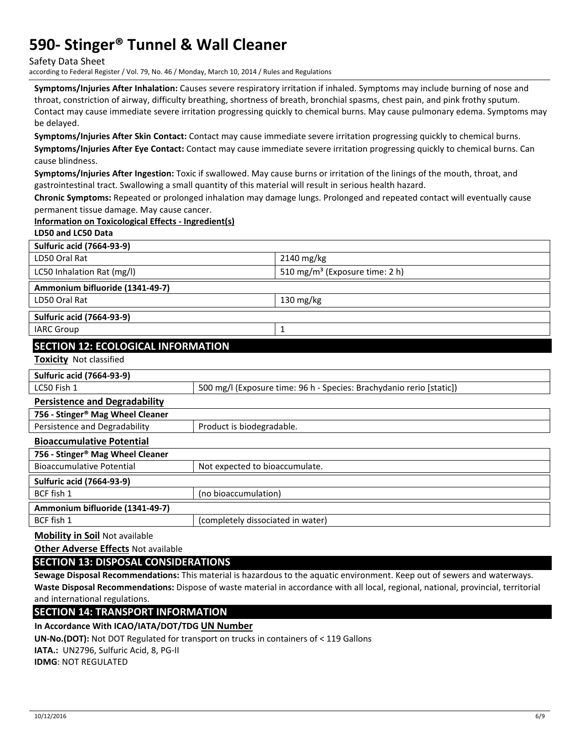Safety Data Sheet

according to Federal Register / Vol. 79, No. 46 / Monday, March 10, 2014 / Rules and Regulations

**Symptoms/Injuries After Inhalation:** Causes severe respiratory irritation if inhaled. Symptoms may include burning of nose and throat, constriction of airway, difficulty breathing, shortness of breath, bronchial spasms, chest pain, and pink frothy sputum. Contact may cause immediate severe irritation progressing quickly to chemical burns. May cause pulmonary edema. Symptoms may be delayed.

**Symptoms/Injuries After Skin Contact:** Contact may cause immediate severe irritation progressing quickly to chemical burns. **Symptoms/Injuries After Eye Contact:** Contact may cause immediate severe irritation progressing quickly to chemical burns. Can cause blindness.

**Symptoms/Injuries After Ingestion:** Toxic if swallowed. May cause burns or irritation of the linings of the mouth, throat, and gastrointestinal tract. Swallowing a small quantity of this material will result in serious health hazard.

**Chronic Symptoms:** Repeated or prolonged inhalation may damage lungs. Prolonged and repeated contact will eventually cause permanent tissue damage. May cause cancer.

#### **Information on Toxicological Effects - Ingredient(s)**

| LD50 and LC50 Data                                                 |                           |                                                                      |  |  |
|--------------------------------------------------------------------|---------------------------|----------------------------------------------------------------------|--|--|
| <b>Sulfuric acid (7664-93-9)</b>                                   |                           |                                                                      |  |  |
| LD50 Oral Rat                                                      |                           | 2140 mg/kg                                                           |  |  |
| LC50 Inhalation Rat (mg/l)                                         |                           | 510 mg/m <sup>3</sup> (Exposure time: 2 h)                           |  |  |
| Ammonium bifluoride (1341-49-7)                                    |                           |                                                                      |  |  |
| LD50 Oral Rat                                                      |                           | 130 mg/kg                                                            |  |  |
| <b>Sulfuric acid (7664-93-9)</b>                                   |                           |                                                                      |  |  |
| <b>IARC Group</b>                                                  |                           | 1                                                                    |  |  |
| <b>SECTION 12: ECOLOGICAL INFORMATION</b>                          |                           |                                                                      |  |  |
| <b>Toxicity Not classified</b>                                     |                           |                                                                      |  |  |
| <b>Sulfuric acid (7664-93-9)</b>                                   |                           |                                                                      |  |  |
| LC50 Fish 1                                                        |                           | 500 mg/l (Exposure time: 96 h - Species: Brachydanio rerio [static]) |  |  |
| <b>Persistence and Degradability</b>                               |                           |                                                                      |  |  |
| 756 - Stinger® Mag Wheel Cleaner                                   |                           |                                                                      |  |  |
| Persistence and Degradability                                      | Product is biodegradable. |                                                                      |  |  |
| <b>Bioaccumulative Potential</b>                                   |                           |                                                                      |  |  |
| 756 - Stinger® Mag Wheel Cleaner                                   |                           |                                                                      |  |  |
| <b>Bioaccumulative Potential</b><br>Not expected to bioaccumulate. |                           |                                                                      |  |  |
| <b>Sulfuric acid (7664-93-9)</b>                                   |                           |                                                                      |  |  |
| BCF fish 1<br>(no bioaccumulation)                                 |                           |                                                                      |  |  |
| Ammonium bifluoride (1341-49-7)                                    |                           |                                                                      |  |  |
| BCF fish 1<br>(completely dissociated in water)                    |                           |                                                                      |  |  |
| <b>Mobility in Soil Not available</b>                              |                           |                                                                      |  |  |

**Other Adverse Effects** Not available

**SECTION 13: DISPOSAL CONSIDERATIONS** 

**Sewage Disposal Recommendations:** This material is hazardous to the aquatic environment. Keep out of sewers and waterways. **Waste Disposal Recommendations:** Dispose of waste material in accordance with all local, regional, national, provincial, territorial and international regulations.

**SECTION 14: TRANSPORT INFORMATION** 

**In Accordance With ICAO/IATA/DOT/TDG UN Number**

**UN-No.(DOT):** Not DOT Regulated for transport on trucks in containers of < 119 Gallons

**IATA.:** UN2796, Sulfuric Acid, 8, PG-II

**IDMG**: NOT REGULATED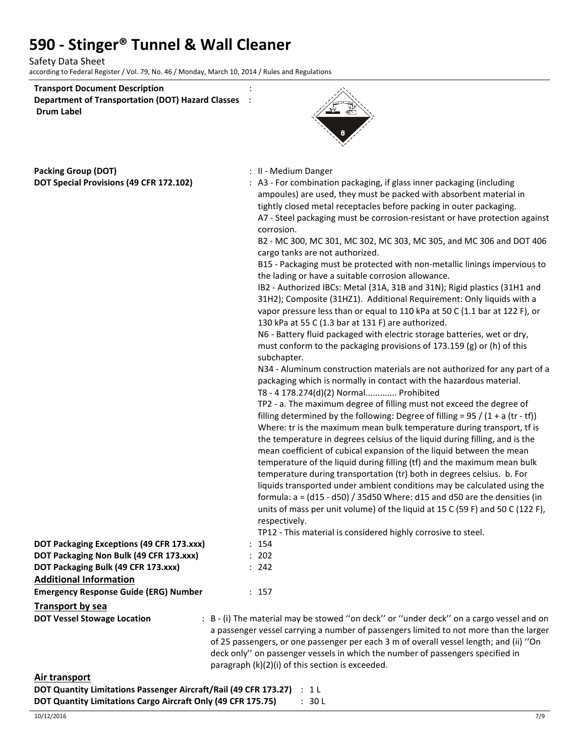Safety Data Sheet according to Federal Register / Vol. 79, No. 46 / Monday, March 10, 2014 / Rules and Regulations

| <b>Transport Document Description</b>                    |  |
|----------------------------------------------------------|--|
| <b>Department of Transportation (DOT) Hazard Classes</b> |  |
| <b>Drum Label</b>                                        |  |



**Packing Group (DOT)** <br>**POT Special Provisions (49 CEP 172 102)**  $\cdot$  0.2 - For combination

| DOT Special Provisions (49 CFR 172.102)      | : A3 - For combination packaging, if glass inner packaging (including<br>ampoules) are used, they must be packed with absorbent material in<br>tightly closed metal receptacles before packing in outer packaging.<br>A7 - Steel packaging must be corrosion-resistant or have protection against<br>corrosion.<br>B2 - MC 300, MC 301, MC 302, MC 303, MC 305, and MC 306 and DOT 406<br>cargo tanks are not authorized.<br>B15 - Packaging must be protected with non-metallic linings impervious to<br>the lading or have a suitable corrosion allowance.<br>IB2 - Authorized IBCs: Metal (31A, 31B and 31N); Rigid plastics (31H1 and<br>31H2); Composite (31HZ1). Additional Requirement: Only liquids with a<br>vapor pressure less than or equal to 110 kPa at 50 C (1.1 bar at 122 F), or<br>130 kPa at 55 C (1.3 bar at 131 F) are authorized.<br>N6 - Battery fluid packaged with electric storage batteries, wet or dry,<br>must conform to the packaging provisions of 173.159 (g) or (h) of this<br>subchapter.<br>N34 - Aluminum construction materials are not authorized for any part of a<br>packaging which is normally in contact with the hazardous material.<br>T8 - 4 178.274(d)(2) Normal Prohibited<br>TP2 - a. The maximum degree of filling must not exceed the degree of<br>filling determined by the following: Degree of filling = $95 / (1 + a (tr - tf))$<br>Where: tr is the maximum mean bulk temperature during transport, tf is<br>the temperature in degrees celsius of the liquid during filling, and is the<br>mean coefficient of cubical expansion of the liquid between the mean<br>temperature of the liquid during filling (tf) and the maximum mean bulk<br>temperature during transportation (tr) both in degrees celsius. b. For<br>liquids transported under ambient conditions may be calculated using the<br>formula: $a = (d15 - d50) / 35d50$ Where: d15 and d50 are the densities (in<br>units of mass per unit volume) of the liquid at 15 C (59 F) and 50 C (122 F),<br>respectively.<br>TP12 - This material is considered highly corrosive to steel. |
|----------------------------------------------|--------------------------------------------------------------------------------------------------------------------------------------------------------------------------------------------------------------------------------------------------------------------------------------------------------------------------------------------------------------------------------------------------------------------------------------------------------------------------------------------------------------------------------------------------------------------------------------------------------------------------------------------------------------------------------------------------------------------------------------------------------------------------------------------------------------------------------------------------------------------------------------------------------------------------------------------------------------------------------------------------------------------------------------------------------------------------------------------------------------------------------------------------------------------------------------------------------------------------------------------------------------------------------------------------------------------------------------------------------------------------------------------------------------------------------------------------------------------------------------------------------------------------------------------------------------------------------------------------------------------------------------------------------------------------------------------------------------------------------------------------------------------------------------------------------------------------------------------------------------------------------------------------------------------------------------------------------------------------------------------------------------------------------------------------------------------------------------------------------------|
| DOT Packaging Exceptions (49 CFR 173.xxx)    | : 154                                                                                                                                                                                                                                                                                                                                                                                                                                                                                                                                                                                                                                                                                                                                                                                                                                                                                                                                                                                                                                                                                                                                                                                                                                                                                                                                                                                                                                                                                                                                                                                                                                                                                                                                                                                                                                                                                                                                                                                                                                                                                                        |
| DOT Packaging Non Bulk (49 CFR 173.xxx)      | : 202                                                                                                                                                                                                                                                                                                                                                                                                                                                                                                                                                                                                                                                                                                                                                                                                                                                                                                                                                                                                                                                                                                                                                                                                                                                                                                                                                                                                                                                                                                                                                                                                                                                                                                                                                                                                                                                                                                                                                                                                                                                                                                        |
| DOT Packaging Bulk (49 CFR 173.xxx)          | : 242                                                                                                                                                                                                                                                                                                                                                                                                                                                                                                                                                                                                                                                                                                                                                                                                                                                                                                                                                                                                                                                                                                                                                                                                                                                                                                                                                                                                                                                                                                                                                                                                                                                                                                                                                                                                                                                                                                                                                                                                                                                                                                        |
| <b>Additional Information</b>                |                                                                                                                                                                                                                                                                                                                                                                                                                                                                                                                                                                                                                                                                                                                                                                                                                                                                                                                                                                                                                                                                                                                                                                                                                                                                                                                                                                                                                                                                                                                                                                                                                                                                                                                                                                                                                                                                                                                                                                                                                                                                                                              |
| <b>Emergency Response Guide (ERG) Number</b> | : 157                                                                                                                                                                                                                                                                                                                                                                                                                                                                                                                                                                                                                                                                                                                                                                                                                                                                                                                                                                                                                                                                                                                                                                                                                                                                                                                                                                                                                                                                                                                                                                                                                                                                                                                                                                                                                                                                                                                                                                                                                                                                                                        |
| <b>Transport by sea</b>                      |                                                                                                                                                                                                                                                                                                                                                                                                                                                                                                                                                                                                                                                                                                                                                                                                                                                                                                                                                                                                                                                                                                                                                                                                                                                                                                                                                                                                                                                                                                                                                                                                                                                                                                                                                                                                                                                                                                                                                                                                                                                                                                              |
| <b>DOT Vessel Stowage Location</b>           | : B - (i) The material may be stowed "on deck" or "under deck" on a cargo vessel and on<br>a passenger vessel carrying a number of passengers limited to not more than the larger<br>of 25 passengers, or one passenger per each 3 m of overall vessel length; and (ii) "On<br>deck only" on passenger vessels in which the number of passengers specified in<br>paragraph (k)(2)(i) of this section is exceeded.                                                                                                                                                                                                                                                                                                                                                                                                                                                                                                                                                                                                                                                                                                                                                                                                                                                                                                                                                                                                                                                                                                                                                                                                                                                                                                                                                                                                                                                                                                                                                                                                                                                                                            |

| Air transport                                                          |        |
|------------------------------------------------------------------------|--------|
| DOT Quantity Limitations Passenger Aircraft/Rail (49 CFR 173.27) : 1 L |        |
| DOT Quantity Limitations Cargo Aircraft Only (49 CFR 175.75)           | : 30 L |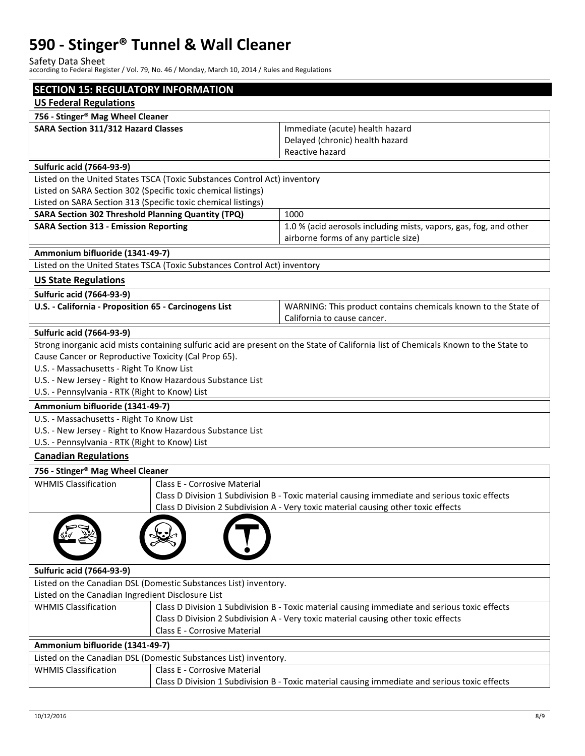Safety Data Sheet according to Federal Register / Vol. 79, No. 46 / Monday, March 10, 2014 / Rules and Regulations

| <b>SECTION 15: REGULATORY INFORMATION</b>                                                         |                                                                           |                                                                                                                                     |  |  |
|---------------------------------------------------------------------------------------------------|---------------------------------------------------------------------------|-------------------------------------------------------------------------------------------------------------------------------------|--|--|
| <b>US Federal Regulations</b>                                                                     |                                                                           |                                                                                                                                     |  |  |
| 756 - Stinger® Mag Wheel Cleaner                                                                  |                                                                           |                                                                                                                                     |  |  |
| SARA Section 311/312 Hazard Classes                                                               |                                                                           | Immediate (acute) health hazard                                                                                                     |  |  |
|                                                                                                   |                                                                           | Delayed (chronic) health hazard                                                                                                     |  |  |
|                                                                                                   |                                                                           | Reactive hazard                                                                                                                     |  |  |
| <b>Sulfuric acid (7664-93-9)</b>                                                                  |                                                                           |                                                                                                                                     |  |  |
|                                                                                                   | Listed on the United States TSCA (Toxic Substances Control Act) inventory |                                                                                                                                     |  |  |
| Listed on SARA Section 302 (Specific toxic chemical listings)                                     |                                                                           |                                                                                                                                     |  |  |
| Listed on SARA Section 313 (Specific toxic chemical listings)                                     |                                                                           |                                                                                                                                     |  |  |
| <b>SARA Section 302 Threshold Planning Quantity (TPQ)</b>                                         |                                                                           | 1000                                                                                                                                |  |  |
| <b>SARA Section 313 - Emission Reporting</b>                                                      |                                                                           | 1.0 % (acid aerosols including mists, vapors, gas, fog, and other<br>airborne forms of any particle size)                           |  |  |
| Ammonium bifluoride (1341-49-7)                                                                   |                                                                           |                                                                                                                                     |  |  |
|                                                                                                   | Listed on the United States TSCA (Toxic Substances Control Act) inventory |                                                                                                                                     |  |  |
| <b>US State Regulations</b>                                                                       |                                                                           |                                                                                                                                     |  |  |
|                                                                                                   |                                                                           |                                                                                                                                     |  |  |
| <b>Sulfuric acid (7664-93-9)</b>                                                                  |                                                                           |                                                                                                                                     |  |  |
| U.S. - California - Proposition 65 - Carcinogens List                                             |                                                                           | WARNING: This product contains chemicals known to the State of<br>California to cause cancer.                                       |  |  |
|                                                                                                   |                                                                           |                                                                                                                                     |  |  |
| <b>Sulfuric acid (7664-93-9)</b>                                                                  |                                                                           |                                                                                                                                     |  |  |
|                                                                                                   |                                                                           | Strong inorganic acid mists containing sulfuric acid are present on the State of California list of Chemicals Known to the State to |  |  |
| Cause Cancer or Reproductive Toxicity (Cal Prop 65).<br>U.S. - Massachusetts - Right To Know List |                                                                           |                                                                                                                                     |  |  |
|                                                                                                   | U.S. - New Jersey - Right to Know Hazardous Substance List                |                                                                                                                                     |  |  |
| U.S. - Pennsylvania - RTK (Right to Know) List                                                    |                                                                           |                                                                                                                                     |  |  |
| Ammonium bifluoride (1341-49-7)                                                                   |                                                                           |                                                                                                                                     |  |  |
| U.S. - Massachusetts - Right To Know List                                                         |                                                                           |                                                                                                                                     |  |  |
| U.S. - New Jersey - Right to Know Hazardous Substance List                                        |                                                                           |                                                                                                                                     |  |  |
| U.S. - Pennsylvania - RTK (Right to Know) List                                                    |                                                                           |                                                                                                                                     |  |  |
| <b>Canadian Regulations</b>                                                                       |                                                                           |                                                                                                                                     |  |  |
| 756 - Stinger <sup>®</sup> Mag Wheel Cleaner                                                      |                                                                           |                                                                                                                                     |  |  |
| <b>WHMIS Classification</b>                                                                       | Class E - Corrosive Material                                              |                                                                                                                                     |  |  |
|                                                                                                   |                                                                           | Class D Division 1 Subdivision B - Toxic material causing immediate and serious toxic effects                                       |  |  |
|                                                                                                   |                                                                           | Class D Division 2 Subdivision A - Very toxic material causing other toxic effects                                                  |  |  |
|                                                                                                   |                                                                           |                                                                                                                                     |  |  |
| <b>Sulfuric acid (7664-93-9)</b>                                                                  |                                                                           |                                                                                                                                     |  |  |
| Listed on the Canadian DSL (Domestic Substances List) inventory.                                  |                                                                           |                                                                                                                                     |  |  |
| Listed on the Canadian Ingredient Disclosure List                                                 |                                                                           |                                                                                                                                     |  |  |
| <b>WHMIS Classification</b>                                                                       |                                                                           | Class D Division 1 Subdivision B - Toxic material causing immediate and serious toxic effects                                       |  |  |
|                                                                                                   |                                                                           | Class D Division 2 Subdivision A - Very toxic material causing other toxic effects                                                  |  |  |
|                                                                                                   | <b>Class E - Corrosive Material</b>                                       |                                                                                                                                     |  |  |
| Ammonium bifluoride (1341-49-7)                                                                   |                                                                           |                                                                                                                                     |  |  |
| Listed on the Canadian DSL (Domestic Substances List) inventory.                                  |                                                                           |                                                                                                                                     |  |  |
| <b>WHMIS Classification</b>                                                                       | <b>Class E - Corrosive Material</b>                                       |                                                                                                                                     |  |  |
|                                                                                                   |                                                                           | Class D Division 1 Subdivision B - Toxic material causing immediate and serious toxic effects                                       |  |  |
|                                                                                                   |                                                                           |                                                                                                                                     |  |  |